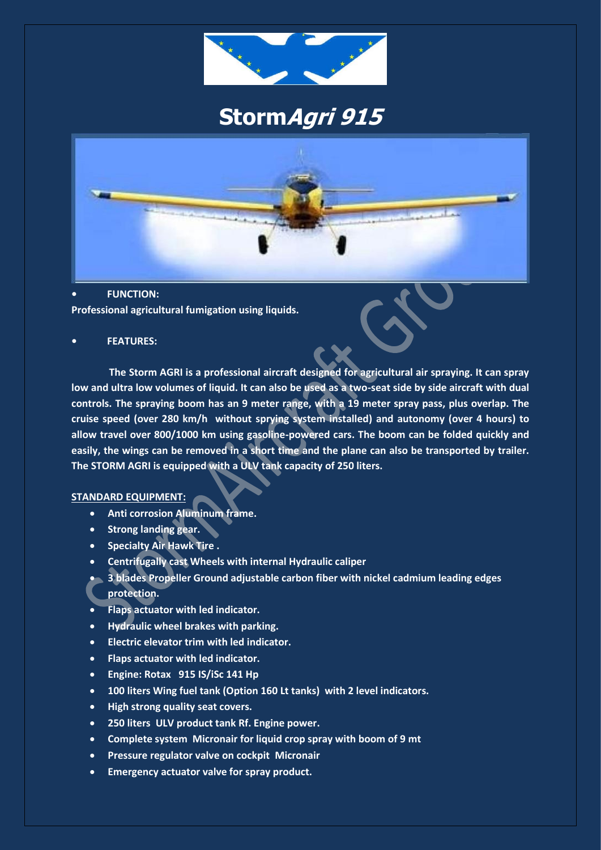

# **StormAgri 915**



#### **• FUNCTION:**

**Professional agricultural fumigation using liquids.**

#### **• FEATURES:**

 **The Storm AGRI is a professional aircraft designed for agricultural air spraying. It can spray low and ultra low volumes of liquid. It can also be used as a two-seat side by side aircraft with dual controls. The spraying boom has an 9 meter range, with a 19 meter spray pass, plus overlap. The cruise speed (over 280 km/h without sprying system installed) and autonomy (over 4 hours) to allow travel over 800/1000 km using gasoline-powered cars. The boom can be folded quickly and easily, the wings can be removed in a short time and the plane can also be transported by trailer. The STORM AGRI is equipped with a ULV tank capacity of 250 liters.**

#### **STANDARD EQUIPMENT:**

- **Anti corrosion Aluminum frame.**
- **Strong landing gear.**
- **•** Specialty Air Hawk Tire .
- **Centrifugally cast Wheels with internal Hydraulic caliper**
- **3 blades Propeller Ground adjustable carbon fiber with nickel cadmium leading edges protection.**
- **Flaps actuator with led indicator.**
- **Hydraulic wheel brakes with parking.**
- **Electric elevator trim with led indicator.**
- **Flaps actuator with led indicator.**
- **Engine: Rotax 915 IS/iSc 141 Hp**
- **100 liters Wing fuel tank (Option 160 Lt tanks) with 2 level indicators.**
- **High strong quality seat covers.**
- **250 liters ULV product tank Rf. Engine power.**
- **Complete system Micronair for liquid crop spray with boom of 9 mt**
- **Pressure regulator valve on cockpit Micronair**
- **Emergency actuator valve for spray product.**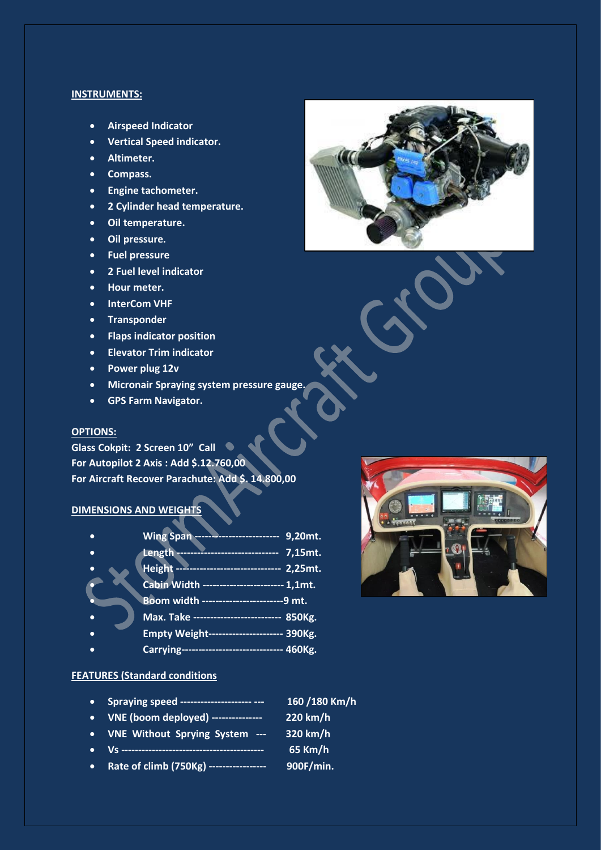#### **INSTRUMENTS:**

- **Airspeed Indicator**
- **Vertical Speed indicator.**
- **Altimeter.**
- **•** Compass.
- **Engine tachometer.**
- **2 Cylinder head temperature.**
- **Oil temperature.**
- **Oil pressure.**
- **Fuel pressure**
- **2 Fuel level indicator**
- **Hour meter.**
- **InterCom VHF**
- **•** Transponder
- **Flaps indicator position**
- **Elevator Trim indicator**
- **Power plug 12v**
- **Micronair Spraying system pressure gauge.**
- **GPS Farm Navigator.**

#### **OPTIONS:**

**Glass Cokpit: 2 Screen 10" Call For Autopilot 2 Axis : Add \$.12.760,00 For Aircraft Recover Parachute: Add \$. 14.800,00** 

#### **DIMENSIONS AND WEIGHTS**

| Wing Span ------------------------ 9,20mt.     |  |
|------------------------------------------------|--|
| Length ------------------------------ 7,15mt.  |  |
| Height ------------------------------ 2,25mt.  |  |
| Cabin Width ----------------------- 1,1mt.     |  |
| Boom width -------------------------9 mt.      |  |
| Max. Take -------------------------- 850Kg.    |  |
| <b>Empty Weight-------------------- 390Kg.</b> |  |
| Carrying----------------------------- 460Kg.   |  |

#### **FEATURES (Standard conditions**

- **Spraying speed --------------------- --- 160 /180 Km/h**
- **VNE (boom deployed) --------------- 220 km/h**
- **VNE Without Sprying System --- 320 km/h**
- **Vs ------------------------------------------ 65 Km/h**
- **Rate of climb (750Kg) ----------------- 900F/min.**



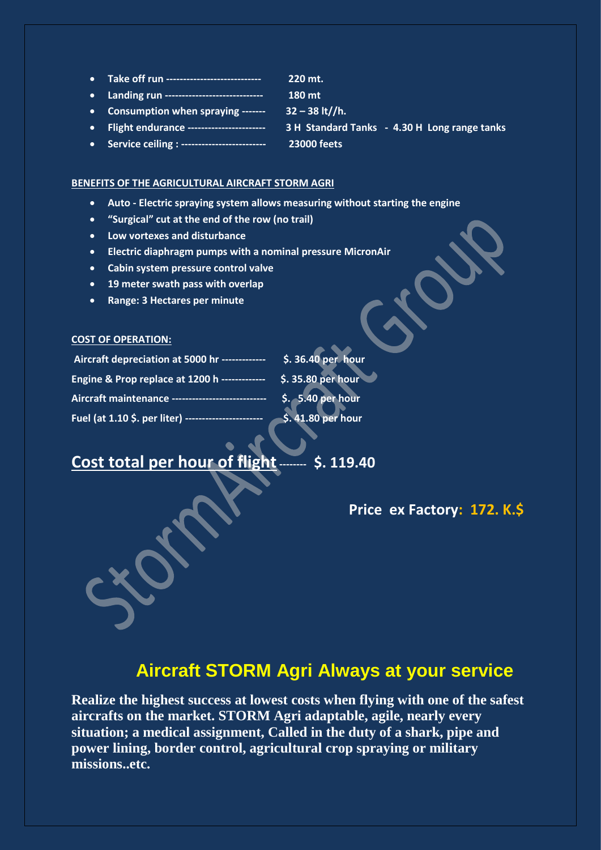**Take off run ---------------------------- 220 mt. Landing run ----------------------------- 180 mt Consumption when spraying ------- 32 – 38 lt//h. Flight endurance ----------------------- 3 H Standard Tanks - 4.30 H Long range tanks Service ceiling : ------------------------- 23000 feets**

### **BENEFITS OF THE AGRICULTURAL AIRCRAFT STORM AGRI**

- **Auto - Electric spraying system allows measuring without starting the engine**
- **"Surgical" cut at the end of the row (no trail)**
- **Low vortexes and disturbance**
- **Electric diaphragm pumps with a nominal pressure MicronAir**
- **Cabin system pressure control valve**
- **19 meter swath pass with overlap**
- **Range: 3 Hectares per minute**

#### **COST OF OPERATION:**

| Aircraft depreciation at 5000 hr ------------- | \$. 36.40 per hour               |
|------------------------------------------------|----------------------------------|
| Engine & Prop replace at 1200 h -------------  | $\frac{1}{2}$ \$. 35.80 per hour |
| Aircraft maintenance --                        | \$. 5.40 per hour                |
| Fuel (at 1.10 \$. per liter) ---               | \$.41.80 per hour                |

# **Cost total per hour of flight-------- \$. 119.40**

## **Price ex Factory: 172. K.\$**

# **Aircraft STORM Agri Always at your service**

**Realize the highest success at lowest costs when flying with one of the safest aircrafts on the market. STORM Agri adaptable, agile, nearly every situation; a medical assignment, Called in the duty of a shark, pipe and power lining, border control, agricultural crop spraying or military missions..etc.**